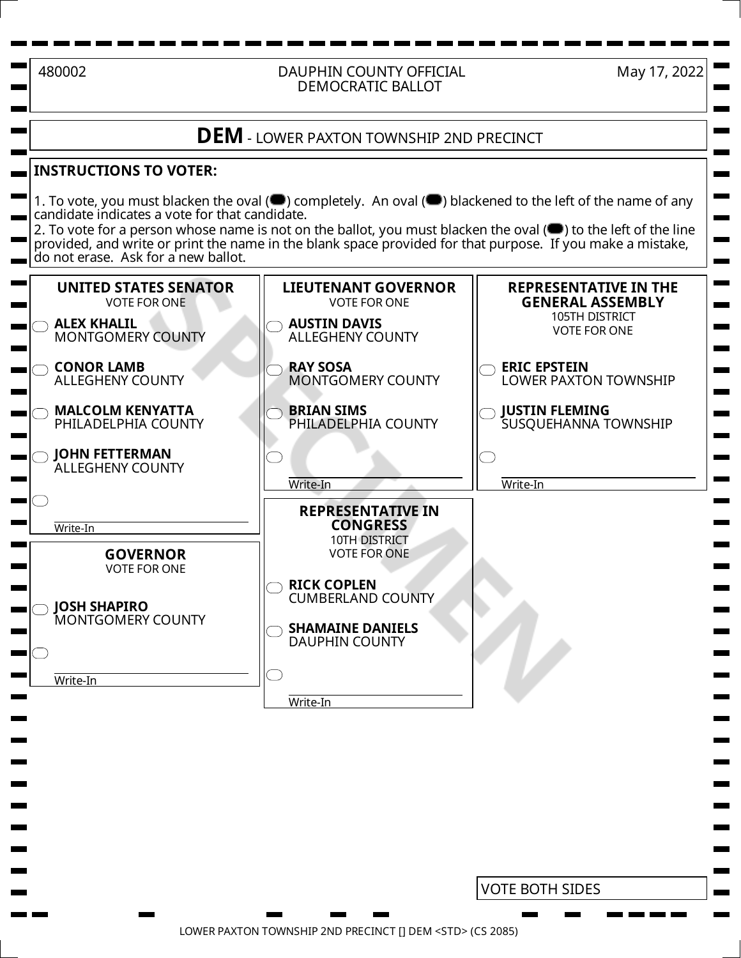## 480002 DAUPHIN COUNTY OFFICIAL DEMOCRATIC BALLOT

May 17, 2022

## **DEM** - LOWER PAXTON TOWNSHIP 2ND PRECINCT

## **INSTRUCTIONS TO VOTER:**

1. To vote, you must blacken the oval  $(\bullet)$  completely. An oval  $(\bullet)$  blackened to the left of the name of any candidate indicates a vote for that candidate.

2. To vote for a person whose name is not on the ballot, you must blacken the oval  $($ **)** to the left of the line provided, and write or print the name in the blank space provided for that purpose. If you make a mistake, do not erase. Ask for a new ballot.